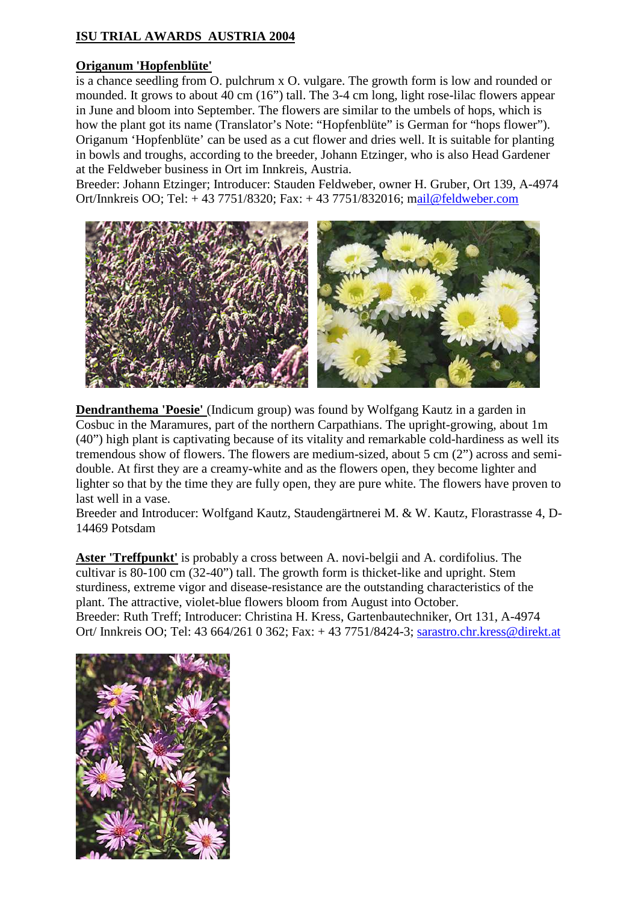## **ISU TRIAL AWARDS AUSTRIA 2004**

## **Origanum 'Hopfenblüte'**

is a chance seedling from O. pulchrum x O. vulgare. The growth form is low and rounded or mounded. It grows to about 40 cm (16") tall. The 3-4 cm long, light rose-lilac flowers appear in June and bloom into September. The flowers are similar to the umbels of hops, which is how the plant got its name (Translator's Note: "Hopfenblüte" is German for "hops flower"). Origanum 'Hopfenblüte' can be used as a cut flower and dries well. It is suitable for planting in bowls and troughs, according to the breeder, Johann Etzinger, who is also Head Gardener at the Feldweber business in Ort im Innkreis, Austria.

Breeder: Johann Etzinger; Introducer: Stauden Feldweber, owner H. Gruber, Ort 139, A-4974 Ort/Innkreis OO; Tel: + 43 7751/8320; Fax: + 43 7751/832016; mail@feldweber.com



**Dendranthema 'Poesie'** (Indicum group) was found by Wolfgang Kautz in a garden in Cosbuc in the Maramures, part of the northern Carpathians. The upright-growing, about 1m (40") high plant is captivating because of its vitality and remarkable cold-hardiness as well its tremendous show of flowers. The flowers are medium-sized, about 5 cm (2") across and semidouble. At first they are a creamy-white and as the flowers open, they become lighter and lighter so that by the time they are fully open, they are pure white. The flowers have proven to last well in a vase.

Breeder and Introducer: Wolfgand Kautz, Staudengärtnerei M. & W. Kautz, Florastrasse 4, D-14469 Potsdam

**Aster 'Treffpunkt'** is probably a cross between A. novi-belgii and A. cordifolius. The cultivar is 80-100 cm (32-40") tall. The growth form is thicket-like and upright. Stem sturdiness, extreme vigor and disease-resistance are the outstanding characteristics of the plant. The attractive, violet-blue flowers bloom from August into October. Breeder: Ruth Treff; Introducer: Christina H. Kress, Gartenbautechniker, Ort 131, A-4974 Ort/ Innkreis OO; Tel: 43 664/261 0 362; Fax: + 43 7751/8424-3; sarastro.chr.kress@direkt.at